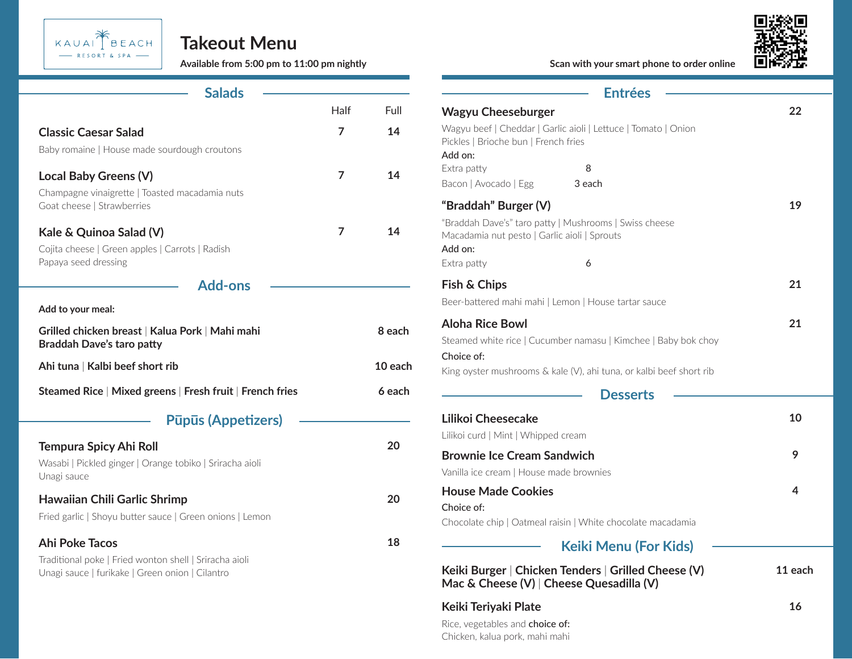

### **Takeout Menu**

| <b>Salads</b>                                                                                                                    |                |         | <b>Entrées</b>                                                                                                                                           |
|----------------------------------------------------------------------------------------------------------------------------------|----------------|---------|----------------------------------------------------------------------------------------------------------------------------------------------------------|
|                                                                                                                                  | Half           | Full    | <b>Wagyu Cheeseburger</b>                                                                                                                                |
| <b>Classic Caesar Salad</b><br>Baby romaine   House made sourdough croutons                                                      | $\overline{7}$ | 14      | Wagyu beef   Cheddar   Garlic aioli   Lettuce   Toma<br>Pickles   Brioche bun   French fries<br>Add on:                                                  |
| Local Baby Greens (V)<br>Champagne vinaigrette   Toasted macadamia nuts                                                          | $\overline{7}$ | 14      | Extra patty<br>8<br>Bacon   Avocado   Egg<br>3 each                                                                                                      |
| Goat cheese   Strawberries<br>Kale & Quinoa Salad (V)<br>Cojita cheese   Green apples   Carrots   Radish<br>Papaya seed dressing | $\overline{7}$ | 14      | "Braddah" Burger (V)<br>"Braddah Dave's" taro patty   Mushrooms   Swiss c<br>Macadamia nut pesto   Garlic aioli   Sprouts<br>Add on:<br>Extra patty<br>6 |
| <b>Add-ons</b>                                                                                                                   |                |         | Fish & Chips                                                                                                                                             |
| Add to your meal:                                                                                                                |                |         | Beer-battered mahi mahi   Lemon   House tartar sa                                                                                                        |
| Grilled chicken breast   Kalua Pork   Mahi mahi<br><b>Braddah Dave's taro patty</b>                                              |                | 8 each  | <b>Aloha Rice Bowl</b><br>Steamed white rice   Cucumber namasu   Kimchee                                                                                 |
| Ahi tuna   Kalbi beef short rib                                                                                                  |                | 10 each | Choice of:<br>King oyster mushrooms & kale (V), ahi tuna, or kall                                                                                        |
| Steamed Rice   Mixed greens   Fresh fruit   French fries                                                                         |                | 6 each  | <b>Desserts</b>                                                                                                                                          |
| <b>Pūpūs (Appetizers)</b>                                                                                                        |                |         | Lilikoi Cheesecake                                                                                                                                       |
| <b>Tempura Spicy Ahi Roll</b>                                                                                                    |                | 20      | Lilikoi curd   Mint   Whipped cream                                                                                                                      |
| Wasabi   Pickled ginger   Orange tobiko   Sriracha aioli<br>Unagi sauce                                                          |                |         | <b>Brownie Ice Cream Sandwich</b><br>Vanilla ice cream   House made brownies                                                                             |
| <b>Hawaiian Chili Garlic Shrimp</b><br>Fried garlic   Shoyu butter sauce   Green onions   Lemon                                  |                | 20      | <b>House Made Cookies</b><br>Choice of:<br>Chocolate chip   Oatmeal raisin   White chocolate                                                             |
| <b>Ahi Poke Tacos</b>                                                                                                            |                | 18      | <b>Keiki Menu (Formally</b>                                                                                                                              |
| Traditional poke   Fried wonton shell   Sriracha aioli<br>Unagi sauce   furikake   Green onion   Cilantro                        |                |         | Keiki Burger   Chicken Tenders   Grilled (<br>$\mathbf{A}$                                                                                               |

Bacon | Avocado | Egg Extra patty Extra patty King oyster mushrooms & kale (V), ahi tuna, or kalbi beef short rib Wagyu beef | Cheddar | Garlic aioli | Lettuce | Tomato | Onion Pickles | Brioche bun | French fries Steamed white rice | Cucumber namasu | Kimchee | Baby bok choy "Braddah Dave's" taro patty | Mushrooms | Swiss cheese Macadamia nut pesto | Garlic aioli | Sprouts **Keiki Burger** | **Chicken Tenders** | **Grilled Cheese (V) Mac & Cheese (V)** | **Cheese Quesadilla (V)** Lilikoi curd | Mint | Whipped cream Vanilla ice cream | House made brownies Chocolate chip | Oatmeal raisin | White chocolate macadamia Rice, vegetables and choice of: Beer-battered mahi mahi | Lemon | House tartar sauce **Wagyu Cheeseburger Aloha Rice Bowl "Braddah" Burger (V) Lilikoi Cheesecake Brownie Ice Cream Sandwich House Made Cookies Keiki Teriyaki Plate Fish & Chips**  3 each 8 6 **22 21 19 10 9 4 11 each 16 21 Available from 5:00 pm to 11:00 pm nightly Scan with your smart phone to order online** Add on: Add on: Choice of: Choice of: **Desserts Keiki Menu (For Kids)**

Chicken, kalua pork, mahi mahi